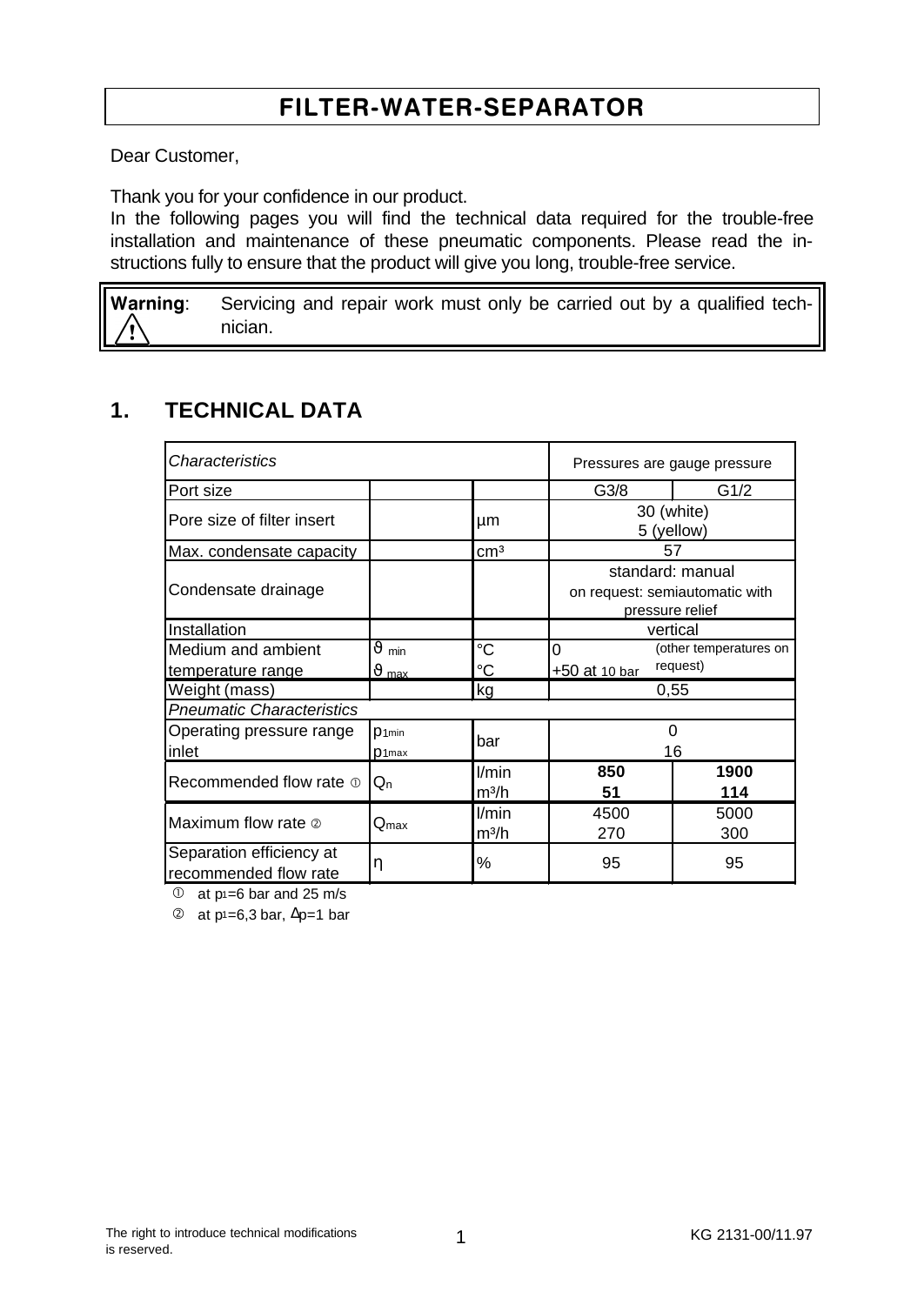# FILTER-WATER-SEPARATOR

Dear Customer,

Thank you for your confidence in our product.

In the following pages you will find the technical data required for the trouble-free installation and maintenance of these pneumatic components. Please read the instructions fully to ensure that the product will give you long, trouble-free service.

Warning: Servicing and repair work must only be carried out by a qualified technician.

## **1. TECHNICAL DATA**

| Characteristics                                   |                                |                            | Pressures are gauge pressure |                                                                       |  |
|---------------------------------------------------|--------------------------------|----------------------------|------------------------------|-----------------------------------------------------------------------|--|
| Port size                                         |                                |                            | G3/8                         | G1/2                                                                  |  |
| Pore size of filter insert                        |                                | μm                         | 30 (white)<br>5 (yellow)     |                                                                       |  |
| Max. condensate capacity                          |                                | cm <sup>3</sup>            |                              | 57                                                                    |  |
| Condensate drainage                               |                                |                            |                              | standard: manual<br>on request: semiautomatic with<br>pressure relief |  |
| Installation                                      |                                |                            | vertical                     |                                                                       |  |
| Medium and ambient                                | $\vartheta$ min                | °C                         | 0<br>(other temperatures on  |                                                                       |  |
| temperature range                                 | $\vartheta$ max                | °C                         | request)<br>+50 at 10 bar    |                                                                       |  |
| Weight (mass)                                     |                                | kg                         | 0.55                         |                                                                       |  |
| <b>Pneumatic Characteristics</b>                  |                                |                            |                              |                                                                       |  |
| Operating pressure range<br>inlet                 | $D$ 1min<br>D <sub>1</sub> max | bar                        | 0<br>16                      |                                                                       |  |
| Recommended flow rate $\Phi$                      | $Q_{n}$                        | l/min<br>m <sup>3</sup> /h | 850<br>51                    | 1900<br>114                                                           |  |
| Maximum flow rate 2                               | $Q_{\text{max}}$               | l/min<br>$m^3/h$           | 4500<br>270                  | 5000<br>300                                                           |  |
| Separation efficiency at<br>recommended flow rate | η                              | %                          | 95                           | 95                                                                    |  |

 $\overline{O}$  at p1=6 bar and 25 m/s

 $\textcircled{2}$  at p<sup>1</sup>=6,3 bar,  $\Delta p=1$  bar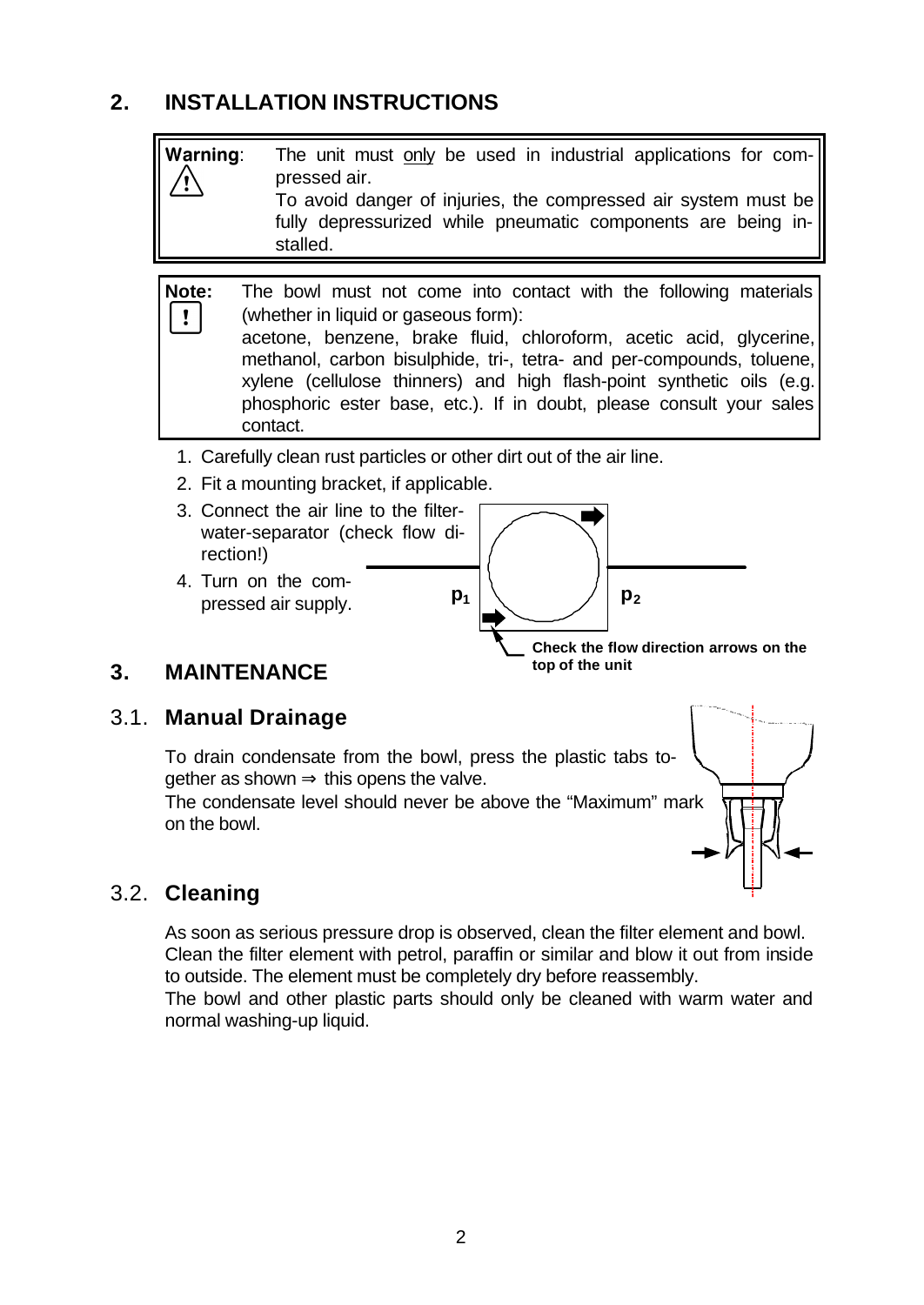# **2. INSTALLATION INSTRUCTIONS**



2. Fit a mounting bracket, if applicable.



## **3. MAINTENANCE**

#### 3.1. **Manual Drainage**

To drain condensate from the bowl, press the plastic tabs to $gether$  as shown  $\Rightarrow$  this opens the valve.

The condensate level should never be above the "Maximum" mark on the bowl.



## 3.2. **Cleaning**

As soon as serious pressure drop is observed, clean the filter element and bowl. Clean the filter element with petrol, paraffin or similar and blow it out from inside to outside. The element must be completely dry before reassembly.

The bowl and other plastic parts should only be cleaned with warm water and normal washing-up liquid.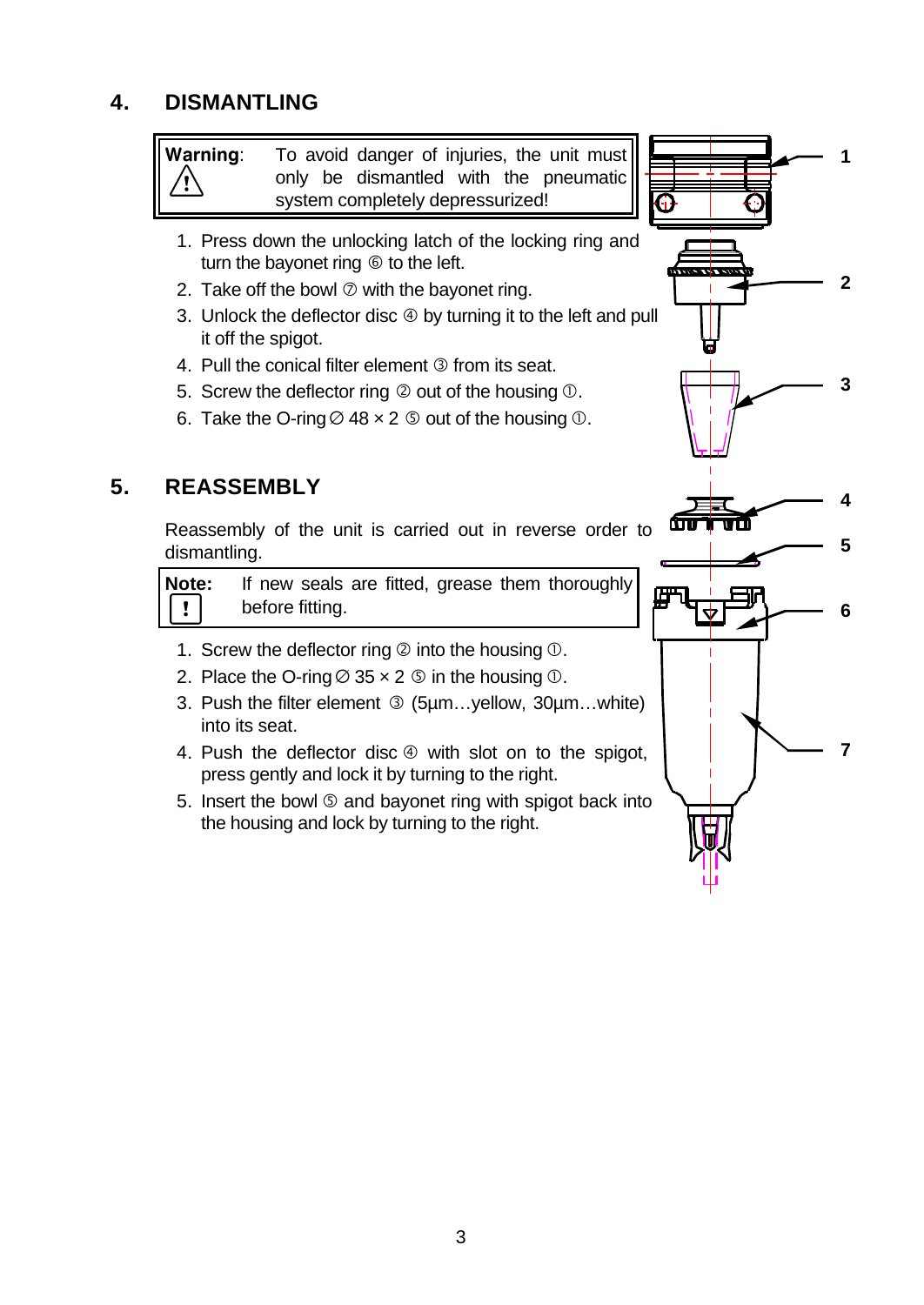# **4. DISMANTLING**

Warning: To avoid danger of injuries, the unit must only be dismantled with the pneumatic system completely depressurized!

- 1. Press down the unlocking latch of the locking ring and turn the bayonet ring  $\circledcirc$  to the left.
- 2. Take off the bowl  $\oslash$  with the bayonet ring.
- 3. Unlock the deflector disc  $\circledast$  by turning it to the left and pull it off the spigot.
- 4. Pull the conical filter element **The from its seat.**
- 5. Screw the deflector ring  $\oslash$  out of the housing  $\oslash$ .
- 6. Take the O-ring  $\varnothing$  48  $\times$  2  $\varnothing$  out of the housing  $\varnothing$ .

## **5. REASSEMBLY**

Reassembly of the unit is carried out in reverse order to dismantling.

**Note:** If new seals are fitted, grease them thoroughly  $\mathbf{I}$ before fitting.

- 1. Screw the deflector ring  $\oslash$  into the housing  $\oslash$ .
- 2. Place the O-ring  $\varnothing$  35  $\times$  2  $\varnothing$  in the housing  $\varnothing$ .
- 3. Push the filter element <sup>3</sup> (5um...yellow, 30um...white) into its seat.
- 4. Push the deflector disc  $\circledast$  with slot on to the spigot, press gently and lock it by turning to the right.
- 5. Insert the bowl Ö and bayonet ring with spigot back into the housing and lock by turning to the right.

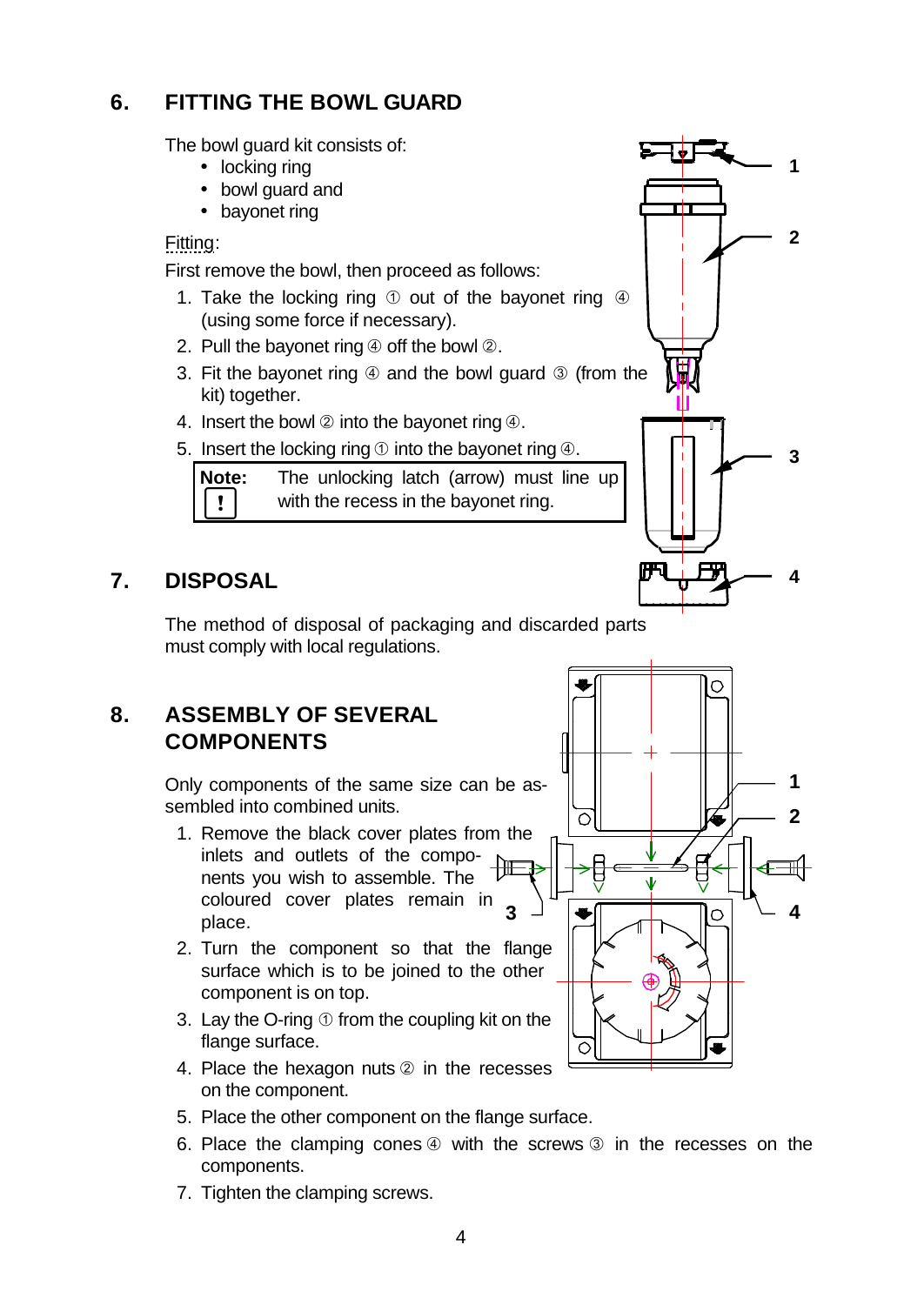# **6. FITTING THE BOWL GUARD**

The bowl guard kit consists of:

- locking ring
- bowl guard and
- bayonet ring

Fitting:

First remove the bowl, then proceed as follows:

- 1. Take the locking ring  $\odot$  out of the bayonet ring  $\odot$ (using some force if necessary).
- 2. Pull the bayonet ring  $\circled{a}$  off the bowl  $\circled{a}$ .
- 3. Fit the bayonet ring  $\Phi$  and the bowl guard  $\Phi$  (from the kit) together.
- 4. Insert the bowl  $\oslash$  into the bayonet ring  $\oslash$ .
- 5. Insert the locking ring  $\odot$  into the bayonet ring  $\ddot{\Phi}$ .

**Note:** The unlocking latch (arrow) must line up  $\mathbf{I}$ with the recess in the bayonet ring.

# **7. DISPOSAL**

The method of disposal of packaging and discarded parts must comply with local regulations.

## **8. ASSEMBLY OF SEVERAL COMPONENTS**

Only components of the same size can be assembled into combined units.

- 1. Remove the black cover plates from the inlets and outlets of the components you wish to assemble. The coloured cover plates remain in place.
- 2. Turn the component so that the flange surface which is to be joined to the other component is on top.
- 3. Lay the O-ring  $\odot$  from the coupling kit on the flange surface.
- 4. Place the hexagon nuts  $@$  in the recesses on the component.
- 5. Place the other component on the flange surface.
- 6. Place the clamping cones  $\circled{a}$  with the screws  $\circled{a}$  in the recesses on the components.
- 7. Tighten the clamping screws.